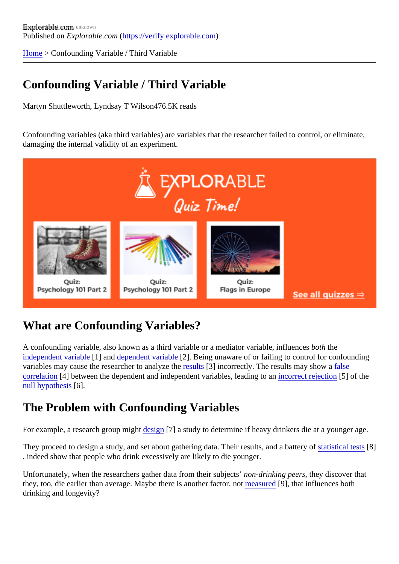[Home](https://verify.explorable.com/) > Confounding Variable / Third Variable

# Confounding Variable / Third Variable

Martyn Shuttleworth, Lyndsay T Wilsd<sub>76.5K</sub> reads

Confounding variables (aka third variables) are variables that the researcher failed to control, or eliminate, damaging the internal validity of an experiment.

### What are Confounding Variables?

A confounding variable, also known as a third variable or a mediator variable, influentiative [independent variab](https://verify.explorable.com/independent-variable)le] and [dependent variab](https://verify.explorable.com/dependent-variable)le]. Being unaware of or failing to control for confounding variables may cause the researcher to analyze the states incorrectly. The results may show as [correlation](https://verify.explorable.com/correlation-and-causation)[4] between the dependent and independent variables, leading to an rejection[5] of the [null hypothesi](https://verify.explorable.com/null-hypothesis)s<sup>6</sup>].

### The Problem with Confounding Variables

For example, a research group midation<sup>[7]</sup> a study to determine if heavy drinkers die at a younger age.

They proceed to design a study, and set about gathering data. Their results, and a **battery of test**<sup>8</sup>] , indeed show that people who drink excessively are likely to die younger.

Unfortunately, when the researchers gather data from their subjects rinking peers they discover that they, too, die earlier than average. Maybe there is another factore past red influences both drinking and longevity?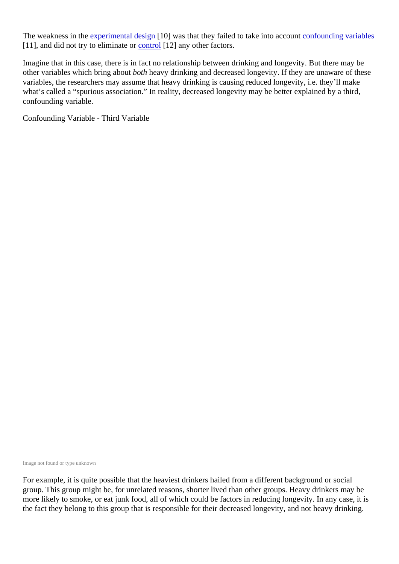The weakness in t[he experimental desig](https://verify.explorable.com/experimental-research)n 10] was that they failed to take into account founding variables [11], and did not try to eliminate  $\omega$ ntrol[12] any other factors.

Imagine that in this case, there is in fact no relationship between drinking and longevity. But there may be other variables which bring abooth heavy drinking and decreased longevity. If they are unaware of these variables, the researchers may assume that heavy drinking is causing reduced longevity, i.e. they'll make what's called a "spurious association." In reality, decreased longevity may be better explained by a third, confounding variable.

Confounding Variable - Third Variable

Image not found or type unknown

For example, it is quite possible that the heaviest drinkers hailed from a different background or social group. This group might be, for unrelated reasons, shorter lived than other groups. Heavy drinkers may be more likely to smoke, or eat junk food, all of which could be factors in reducing longevity. In any case, it is the fact they belong to this group that is responsible for their decreased longevity, and not heavy drinking.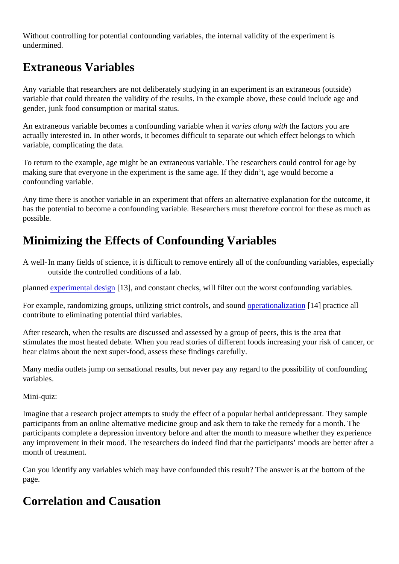Without controlling for potential confounding variables, the internal validity of the experiment is undermined.

## Extraneous Variables

Any variable that researchers are not deliberately studying in an experiment is an extraneous (outside) variable that could threaten the validity of the results. In the example above, these could include age and gender, junk food consumption or marital status.

An extraneous variable becomes a confounding variable whenes along with the factors you are actually interested in. In other words, it becomes difficult to separate out which effect belongs to which variable, complicating the data.

To return to the example, age might be an extraneous variable. The researchers could control for age by making sure that everyone in the experiment is the same age. If they didn't, age would become a confounding variable.

Any time there is another variable in an experiment that offers an alternative explanation for the outcome, has the potential to become a confounding variable. Researchers must therefore control for these as much possible.

## Minimizing the Effects of Confounding Variables

A well- In many fields of science, it is difficult to remove entirely all of the confounding variables, especially outside the controlled conditions of a lab.

planne[d experimental desig](https://verify.explorable.com/true-experimental-design)n 3], and constant checks, will filter out the worst confounding variables.

For example, randomizing groups, utilizing strict controls, and soperationalization 14] practice all contribute to eliminating potential third variables.

After research, when the results are discussed and assessed by a group of peers, this is the area that stimulates the most heated debate. When you read stories of different foods increasing your risk of cancer hear claims about the next super-food, assess these findings carefully.

Many media outlets jump on sensational results, but never pay any regard to the possibility of confounding variables.

#### Mini-quiz:

Imagine that a research project attempts to study the effect of a popular herbal antidepressant. They sample participants from an online alternative medicine group and ask them to take the remedy for a month. The participants complete a depression inventory before and after the month to measure whether they experie any improvement in their mood. The researchers do indeed find that the participants' moods are better after month of treatment.

Can you identify any variables which may have confounded this result? The answer is at the bottom of the page.

#### Correlation and Causation